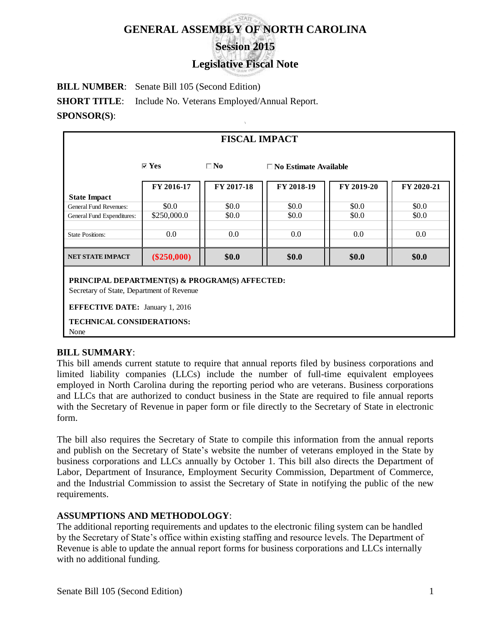# **GENERAL ASSEMBLY OF NORTH CAROLINA Session 2015**

# **Legislative Fiscal Note**

**BILL NUMBER**: Senate Bill 105 (Second Edition) **SHORT TITLE:** Include No. Veterans Employed/Annual Report. **SPONSOR(S)**:

| <b>FISCAL IMPACT</b>                                                                                                                                                              |                                 |              |                                 |            |            |
|-----------------------------------------------------------------------------------------------------------------------------------------------------------------------------------|---------------------------------|--------------|---------------------------------|------------|------------|
|                                                                                                                                                                                   | $\overline{\triangleright}$ Yes | $\square$ No | $\square$ No Estimate Available |            |            |
|                                                                                                                                                                                   | FY 2016-17                      | FY 2017-18   | FY 2018-19                      | FY 2019-20 | FY 2020-21 |
| <b>State Impact</b>                                                                                                                                                               |                                 |              |                                 |            |            |
| <b>General Fund Revenues:</b>                                                                                                                                                     | \$0.0                           | \$0.0        | \$0.0                           | \$0.0      | \$0.0      |
| General Fund Expenditures:                                                                                                                                                        | \$250,000.0                     | \$0.0        | \$0.0                           | \$0.0      | \$0.0      |
|                                                                                                                                                                                   |                                 |              |                                 |            |            |
| <b>State Positions:</b>                                                                                                                                                           | 0.0                             | $0.0\,$      | $0.0\,$                         | 0.0        | $0.0\,$    |
|                                                                                                                                                                                   |                                 |              |                                 |            |            |
| <b>NET STATE IMPACT</b>                                                                                                                                                           | $(\$250,000)$                   | \$0.0        | \$0.0\$                         | \$0.0\$    | \$0.0      |
| PRINCIPAL DEPARTMENT(S) & PROGRAM(S) AFFECTED:<br>Secretary of State, Department of Revenue<br><b>EFFECTIVE DATE: January 1, 2016</b><br><b>TECHNICAL CONSIDERATIONS:</b><br>None |                                 |              |                                 |            |            |

## **BILL SUMMARY**:

This bill amends current statute to require that annual reports filed by business corporations and limited liability companies (LLCs) include the number of full-time equivalent employees employed in North Carolina during the reporting period who are veterans. Business corporations and LLCs that are authorized to conduct business in the State are required to file annual reports with the Secretary of Revenue in paper form or file directly to the Secretary of State in electronic form.

The bill also requires the Secretary of State to compile this information from the annual reports and publish on the Secretary of State's website the number of veterans employed in the State by business corporations and LLCs annually by October 1. This bill also directs the Department of Labor, Department of Insurance, Employment Security Commission, Department of Commerce, and the Industrial Commission to assist the Secretary of State in notifying the public of the new requirements.

## **ASSUMPTIONS AND METHODOLOGY**:

The additional reporting requirements and updates to the electronic filing system can be handled by the Secretary of State's office within existing staffing and resource levels. The Department of Revenue is able to update the annual report forms for business corporations and LLCs internally with no additional funding.